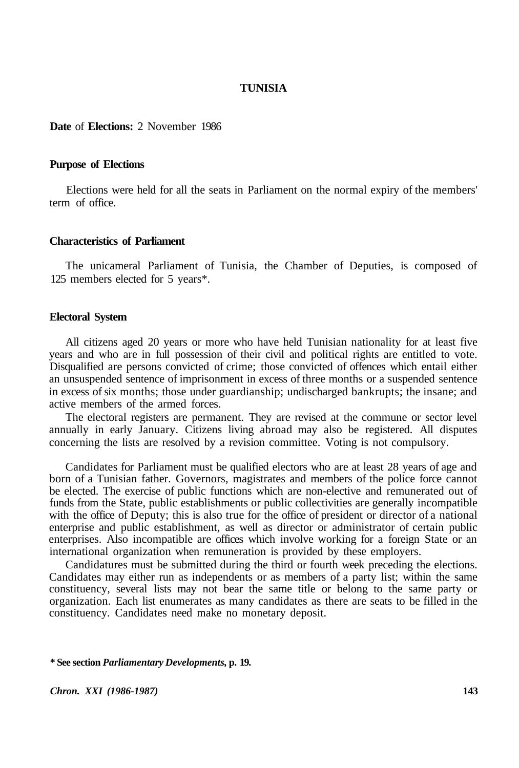### **TUNISIA**

### **Date** of **Elections:** 2 November 1986

#### **Purpose of Elections**

Elections were held for all the seats in Parliament on the normal expiry of the members' term of office.

#### **Characteristics of Parliament**

The unicameral Parliament of Tunisia, the Chamber of Deputies, is composed of 125 members elected for 5 years\*.

#### **Electoral System**

All citizens aged 20 years or more who have held Tunisian nationality for at least five years and who are in full possession of their civil and political rights are entitled to vote. Disqualified are persons convicted of crime; those convicted of offences which entail either an unsuspended sentence of imprisonment in excess of three months or a suspended sentence in excess of six months; those under guardianship; undischarged bankrupts; the insane; and active members of the armed forces.

The electoral registers are permanent. They are revised at the commune or sector level annually in early January. Citizens living abroad may also be registered. All disputes concerning the lists are resolved by a revision committee. Voting is not compulsory.

Candidates for Parliament must be qualified electors who are at least 28 years of age and born of a Tunisian father. Governors, magistrates and members of the police force cannot be elected. The exercise of public functions which are non-elective and remunerated out of funds from the State, public establishments or public collectivities are generally incompatible with the office of Deputy; this is also true for the office of president or director of a national enterprise and public establishment, as well as director or administrator of certain public enterprises. Also incompatible are offices which involve working for a foreign State or an international organization when remuneration is provided by these employers.

Candidatures must be submitted during the third or fourth week preceding the elections. Candidates may either run as independents or as members of a party list; within the same constituency, several lists may not bear the same title or belong to the same party or organization. Each list enumerates as many candidates as there are seats to be filled in the constituency. Candidates need make no monetary deposit.

**\* See section** *Parliamentary Developments,* **p. 19.** 

*Chron. XXI (1986-1987)* **143**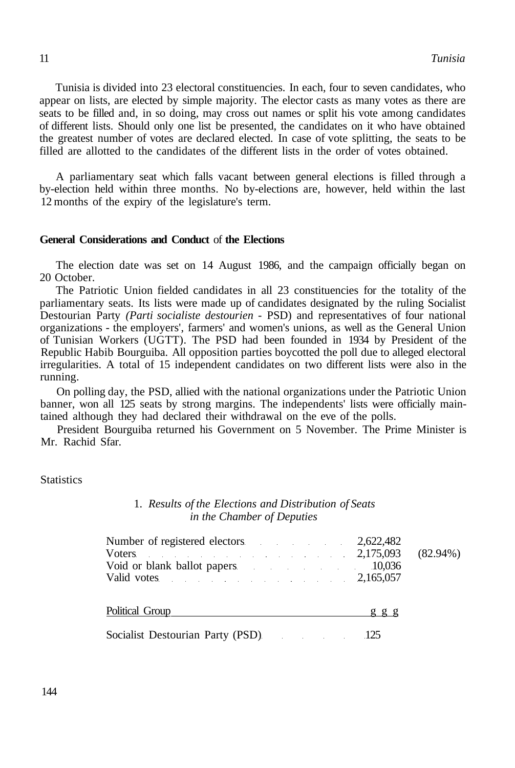Tunisia is divided into 23 electoral constituencies. In each, four to seven candidates, who appear on lists, are elected by simple majority. The elector casts as many votes as there are seats to be filled and, in so doing, may cross out names or split his vote among candidates of different lists. Should only one list be presented, the candidates on it who have obtained the greatest number of votes are declared elected. In case of vote splitting, the seats to be filled are allotted to the candidates of the different lists in the order of votes obtained.

A parliamentary seat which falls vacant between general elections is filled through a by-election held within three months. No by-elections are, however, held within the last 12 months of the expiry of the legislature's term.

## **General Considerations and Conduct** of **the Elections**

The election date was set on 14 August 1986, and the campaign officially began on 20 October.

The Patriotic Union fielded candidates in all 23 constituencies for the totality of the parliamentary seats. Its lists were made up of candidates designated by the ruling Socialist Destourian Party *(Parti socialiste destourien -* PSD) and representatives of four national organizations - the employers', farmers' and women's unions, as well as the General Union of Tunisian Workers (UGTT). The PSD had been founded in 1934 by President of the Republic Habib Bourguiba. All opposition parties boycotted the poll due to alleged electoral irregularities. A total of 15 independent candidates on two different lists were also in the running.

On polling day, the PSD, allied with the national organizations under the Patriotic Union banner, won all 125 seats by strong margins. The independents' lists were officially maintained although they had declared their withdrawal on the eve of the polls.

President Bourguiba returned his Government on 5 November. The Prime Minister is Mr. Rachid Sfar.

**Statistics** 

### 1. *Results of the Elections and Distribution of Seats in the Chamber of Deputies*

| Number of registered electors 2,622,482 |  |
|-----------------------------------------|--|
| Voters 2,175,093 $(82.94\%)$            |  |
| Void or blank ballot papers 10,036      |  |
| Valid votes $2,165,057$                 |  |
|                                         |  |
| Political Group g g g g                 |  |
| Socialist Destourian Party (PSD) 125    |  |